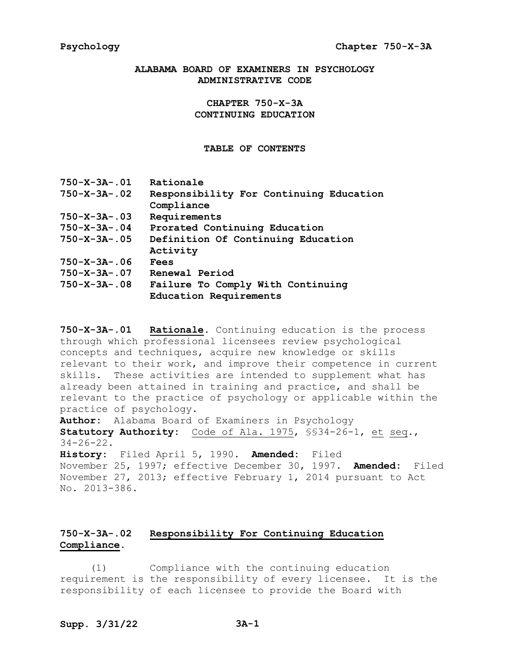# **ALABAMA BOARD OF EXAMINERS IN PSYCHOLOGY ADMINISTRATIVE CODE**

**CHAPTER 750-X-3A CONTINUING EDUCATION**

**TABLE OF CONTENTS**

| $750 - X - 3A - 01$   | Rationale                                                   |
|-----------------------|-------------------------------------------------------------|
| $750 - X - 3A - 02$   | Responsibility For Continuing Education<br>Compliance       |
| $750 - X - 3A - .03$  | Requirements                                                |
| $750 - X - 3A - .04$  | Prorated Continuing Education                               |
| $750 - X - 3A - 0.05$ | Definition Of Continuing Education<br>Activity              |
| $750 - X - 3A - 06$   | Fees                                                        |
| $750 - X - 3A - .07$  | Renewal Period                                              |
| $750 - X - 3A - 0.08$ | Failure To Comply With Continuing<br>Education Requirements |

**750-X-3A-.01 Rationale.** Continuing education is the process through which professional licensees review psychological concepts and techniques, acquire new knowledge or skills relevant to their work, and improve their competence in current skills. These activities are intended to supplement what has already been attained in training and practice, and shall be relevant to the practice of psychology or applicable within the practice of psychology.

**Author:** Alabama Board of Examiners in Psychology **Statutory Authority:** Code of Ala. 1975, §§34-26-1, et seq.,  $34 - 26 - 22$ .

**History:** Filed April 5, 1990. **Amended:** Filed November 25, 1997; effective December 30, 1997. **Amended:** Filed November 27, 2013; effective February 1, 2014 pursuant to Act No. 2013-386.

# **750-X-3A-.02 Responsibility For Continuing Education Compliance.**

(1) Compliance with the continuing education requirement is the responsibility of every licensee. It is the responsibility of each licensee to provide the Board with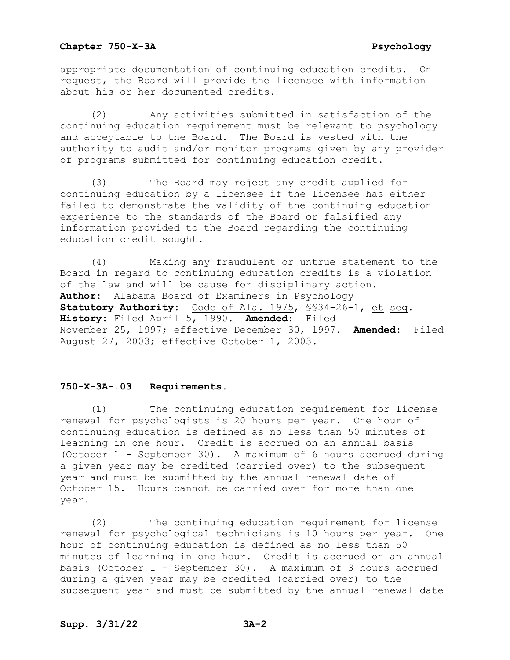#### **Chapter 750-X-3A** Psychology

appropriate documentation of continuing education credits. On request, the Board will provide the licensee with information about his or her documented credits.

(2) Any activities submitted in satisfaction of the continuing education requirement must be relevant to psychology and acceptable to the Board. The Board is vested with the authority to audit and/or monitor programs given by any provider of programs submitted for continuing education credit.

(3) The Board may reject any credit applied for continuing education by a licensee if the licensee has either failed to demonstrate the validity of the continuing education experience to the standards of the Board or falsified any information provided to the Board regarding the continuing education credit sought.

(4) Making any fraudulent or untrue statement to the Board in regard to continuing education credits is a violation of the law and will be cause for disciplinary action. **Author:** Alabama Board of Examiners in Psychology **Statutory Authority:** Code of Ala. 1975, §§34-26-1, et seq. **History:** Filed April 5, 1990. **Amended**: Filed November 25, 1997; effective December 30, 1997. **Amended:** Filed August 27, 2003; effective October 1, 2003.

# **750-X-3A-.03 Requirements.**

(1) The continuing education requirement for license renewal for psychologists is 20 hours per year. One hour of continuing education is defined as no less than 50 minutes of learning in one hour. Credit is accrued on an annual basis (October 1 - September 30). A maximum of 6 hours accrued during a given year may be credited (carried over) to the subsequent year and must be submitted by the annual renewal date of October 15. Hours cannot be carried over for more than one year.

(2) The continuing education requirement for license renewal for psychological technicians is 10 hours per year. One hour of continuing education is defined as no less than 50 minutes of learning in one hour. Credit is accrued on an annual basis (October 1 - September 30). A maximum of 3 hours accrued during a given year may be credited (carried over) to the subsequent year and must be submitted by the annual renewal date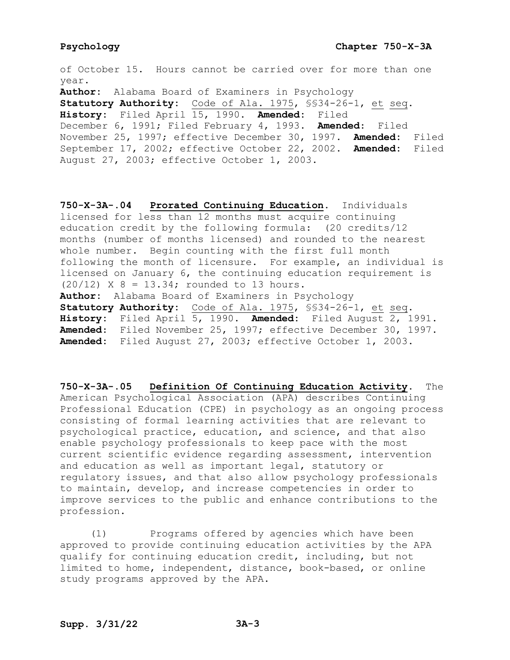### **Psychology Chapter 750-X-3A**

of October 15. Hours cannot be carried over for more than one year. **Author:** Alabama Board of Examiners in Psychology **Statutory Authority:** Code of Ala. 1975, §§34-26-1, et seq. **History:** Filed April 15, 1990. **Amended:** Filed December 6, 1991; Filed February 4, 1993. **Amended**: Filed November 25, 1997; effective December 30, 1997. **Amended:** Filed September 17, 2002; effective October 22, 2002. **Amended:** Filed August 27, 2003; effective October 1, 2003.

**750-X-3A-.04 Prorated Continuing Education.** Individuals licensed for less than 12 months must acquire continuing education credit by the following formula: (20 credits/12 months (number of months licensed) and rounded to the nearest whole number. Begin counting with the first full month following the month of licensure. For example, an individual is licensed on January 6, the continuing education requirement is  $(20/12)$  X 8 = 13.34; rounded to 13 hours. **Author:** Alabama Board of Examiners in Psychology **Statutory Authority:** Code of Ala. 1975, §§34-26-1, et seq. **History:** Filed April 5, 1990. **Amended:** Filed August 2, 1991. **Amended**: Filed November 25, 1997; effective December 30, 1997. **Amended:** Filed August 27, 2003; effective October 1, 2003.

**750-X-3A-.05 Definition Of Continuing Education Activity.** The American Psychological Association (APA) describes Continuing Professional Education (CPE) in psychology as an ongoing process consisting of formal learning activities that are relevant to psychological practice, education, and science, and that also enable psychology professionals to keep pace with the most current scientific evidence regarding assessment, intervention and education as well as important legal, statutory or regulatory issues, and that also allow psychology professionals to maintain, develop, and increase competencies in order to improve services to the public and enhance contributions to the profession.

(1) Programs offered by agencies which have been approved to provide continuing education activities by the APA qualify for continuing education credit, including, but not limited to home, independent, distance, book-based, or online study programs approved by the APA.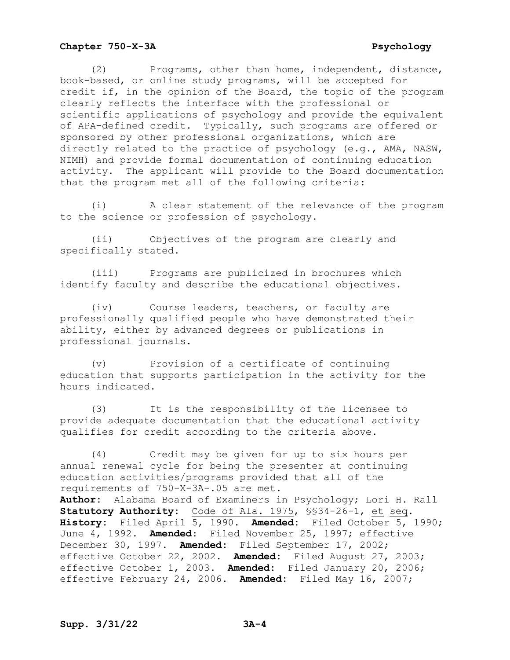### **Chapter 750-X-3A** Psychology

(2) Programs, other than home, independent, distance, book-based, or online study programs, will be accepted for credit if, in the opinion of the Board, the topic of the program clearly reflects the interface with the professional or scientific applications of psychology and provide the equivalent of APA-defined credit. Typically, such programs are offered or sponsored by other professional organizations, which are directly related to the practice of psychology (e.g., AMA, NASW, NIMH) and provide formal documentation of continuing education activity. The applicant will provide to the Board documentation that the program met all of the following criteria:

(i) A clear statement of the relevance of the program to the science or profession of psychology.

(ii) Objectives of the program are clearly and specifically stated.

(iii) Programs are publicized in brochures which identify faculty and describe the educational objectives.

(iv) Course leaders, teachers, or faculty are professionally qualified people who have demonstrated their ability, either by advanced degrees or publications in professional journals.

(v) Provision of a certificate of continuing education that supports participation in the activity for the hours indicated.

(3) It is the responsibility of the licensee to provide adequate documentation that the educational activity qualifies for credit according to the criteria above.

(4) Credit may be given for up to six hours per annual renewal cycle for being the presenter at continuing education activities/programs provided that all of the requirements of 750-X-3A-.05 are met. **Author:** Alabama Board of Examiners in Psychology; Lori H. Rall **Statutory Authority:** Code of Ala. 1975, §§34-26-1, et seq. **History:** Filed April 5, 1990. **Amended:** Filed October 5, 1990; June 4, 1992. **Amended**: Filed November 25, 1997; effective December 30, 1997. **Amended:** Filed September 17, 2002; effective October 22, 2002. **Amended:** Filed August 27, 2003; effective October 1, 2003. **Amended:** Filed January 20, 2006; effective February 24, 2006. **Amended:** Filed May 16, 2007;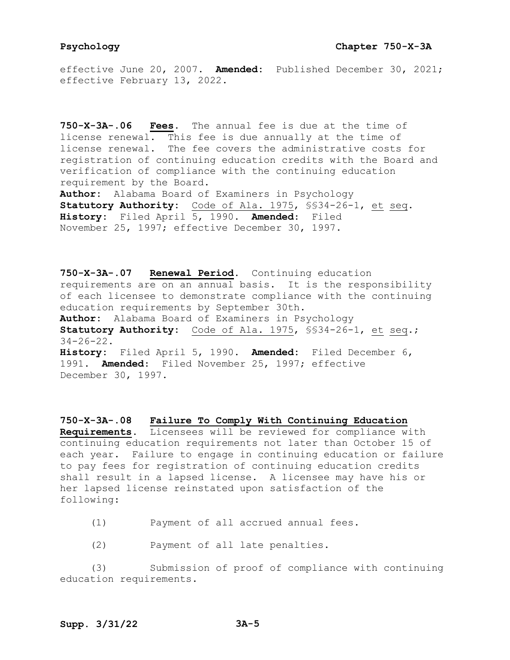effective June 20, 2007. **Amended:** Published December 30, 2021; effective February 13, 2022.

**750-X-3A-.06 Fees.** The annual fee is due at the time of license renewal. This fee is due annually at the time of license renewal. The fee covers the administrative costs for registration of continuing education credits with the Board and verification of compliance with the continuing education requirement by the Board. **Author:** Alabama Board of Examiners in Psychology **Statutory Authority:** Code of Ala. 1975, §§34-26-1, et seq. **History:** Filed April 5, 1990. **Amended**: Filed November 25, 1997; effective December 30, 1997.

**750-X-3A-.07 Renewal Period.** Continuing education requirements are on an annual basis. It is the responsibility of each licensee to demonstrate compliance with the continuing education requirements by September 30th. **Author:** Alabama Board of Examiners in Psychology **Statutory Authority:** Code of Ala. 1975, §§34-26-1, et seq.; 34-26-22. **History:** Filed April 5, 1990. **Amended:** Filed December 6, 1991. **Amended**: Filed November 25, 1997; effective December 30, 1997.

**750-X-3A-.08 Failure To Comply With Continuing Education Requirements.** Licensees will be reviewed for compliance with continuing education requirements not later than October 15 of each year. Failure to engage in continuing education or failure to pay fees for registration of continuing education credits shall result in a lapsed license. A licensee may have his or her lapsed license reinstated upon satisfaction of the following:

- (1) Payment of all accrued annual fees.
- (2) Payment of all late penalties.

(3) Submission of proof of compliance with continuing education requirements.